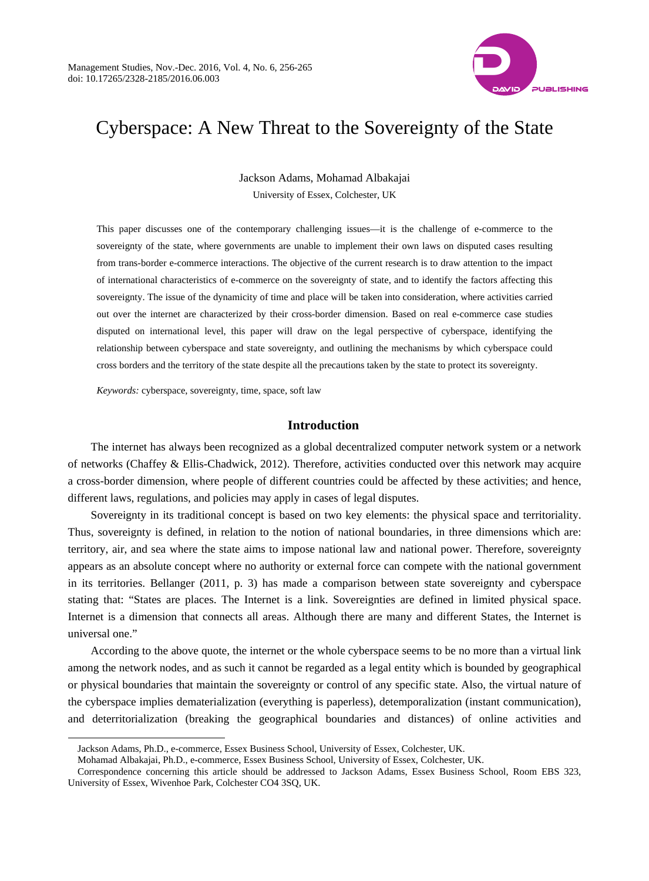

# Cyberspace: A New Threat to the Sovereignty of the State

Jackson Adams, Mohamad Albakajai University of Essex, Colchester, UK

This paper discusses one of the contemporary challenging issues—it is the challenge of e-commerce to the sovereignty of the state, where governments are unable to implement their own laws on disputed cases resulting from trans-border e-commerce interactions. The objective of the current research is to draw attention to the impact of international characteristics of e-commerce on the sovereignty of state, and to identify the factors affecting this sovereignty. The issue of the dynamicity of time and place will be taken into consideration, where activities carried out over the internet are characterized by their cross-border dimension. Based on real e-commerce case studies disputed on international level, this paper will draw on the legal perspective of cyberspace, identifying the relationship between cyberspace and state sovereignty, and outlining the mechanisms by which cyberspace could cross borders and the territory of the state despite all the precautions taken by the state to protect its sovereignty.

*Keywords:* cyberspace, sovereignty, time, space, soft law

#### **Introduction**

The internet has always been recognized as a global decentralized computer network system or a network of networks (Chaffey & Ellis-Chadwick, 2012). Therefore, activities conducted over this network may acquire a cross-border dimension, where people of different countries could be affected by these activities; and hence, different laws, regulations, and policies may apply in cases of legal disputes.

Sovereignty in its traditional concept is based on two key elements: the physical space and territoriality. Thus, sovereignty is defined, in relation to the notion of national boundaries, in three dimensions which are: territory, air, and sea where the state aims to impose national law and national power. Therefore, sovereignty appears as an absolute concept where no authority or external force can compete with the national government in its territories. Bellanger (2011, p. 3) has made a comparison between state sovereignty and cyberspace stating that: "States are places. The Internet is a link. Sovereignties are defined in limited physical space. Internet is a dimension that connects all areas. Although there are many and different States, the Internet is universal one."

According to the above quote, the internet or the whole cyberspace seems to be no more than a virtual link among the network nodes, and as such it cannot be regarded as a legal entity which is bounded by geographical or physical boundaries that maintain the sovereignty or control of any specific state. Also, the virtual nature of the cyberspace implies dematerialization (everything is paperless), detemporalization (instant communication), and deterritorialization (breaking the geographical boundaries and distances) of online activities and

 $\overline{a}$ 

Jackson Adams, Ph.D., e-commerce, Essex Business School, University of Essex, Colchester, UK.

Mohamad Albakajai, Ph.D., e-commerce, Essex Business School, University of Essex, Colchester, UK.

Correspondence concerning this article should be addressed to Jackson Adams, Essex Business School, Room EBS 323, University of Essex, Wivenhoe Park, Colchester CO4 3SQ, UK.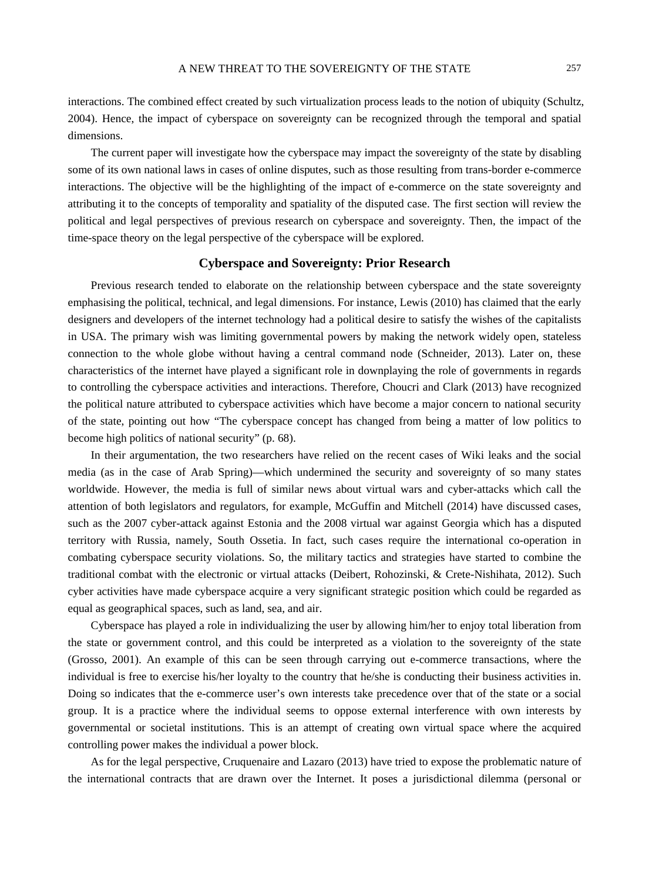interactions. The combined effect created by such virtualization process leads to the notion of ubiquity (Schultz, 2004). Hence, the impact of cyberspace on sovereignty can be recognized through the temporal and spatial dimensions.

The current paper will investigate how the cyberspace may impact the sovereignty of the state by disabling some of its own national laws in cases of online disputes, such as those resulting from trans-border e-commerce interactions. The objective will be the highlighting of the impact of e-commerce on the state sovereignty and attributing it to the concepts of temporality and spatiality of the disputed case. The first section will review the political and legal perspectives of previous research on cyberspace and sovereignty. Then, the impact of the time-space theory on the legal perspective of the cyberspace will be explored.

#### **Cyberspace and Sovereignty: Prior Research**

Previous research tended to elaborate on the relationship between cyberspace and the state sovereignty emphasising the political, technical, and legal dimensions. For instance, Lewis (2010) has claimed that the early designers and developers of the internet technology had a political desire to satisfy the wishes of the capitalists in USA. The primary wish was limiting governmental powers by making the network widely open, stateless connection to the whole globe without having a central command node (Schneider, 2013). Later on, these characteristics of the internet have played a significant role in downplaying the role of governments in regards to controlling the cyberspace activities and interactions. Therefore, Choucri and Clark (2013) have recognized the political nature attributed to cyberspace activities which have become a major concern to national security of the state, pointing out how "The cyberspace concept has changed from being a matter of low politics to become high politics of national security" (p. 68).

In their argumentation, the two researchers have relied on the recent cases of Wiki leaks and the social media (as in the case of Arab Spring)—which undermined the security and sovereignty of so many states worldwide. However, the media is full of similar news about virtual wars and cyber-attacks which call the attention of both legislators and regulators, for example, McGuffin and Mitchell (2014) have discussed cases, such as the 2007 cyber-attack against Estonia and the 2008 virtual war against Georgia which has a disputed territory with Russia, namely, South Ossetia. In fact, such cases require the international co-operation in combating cyberspace security violations. So, the military tactics and strategies have started to combine the traditional combat with the electronic or virtual attacks (Deibert, Rohozinski, & Crete-Nishihata, 2012). Such cyber activities have made cyberspace acquire a very significant strategic position which could be regarded as equal as geographical spaces, such as land, sea, and air.

Cyberspace has played a role in individualizing the user by allowing him/her to enjoy total liberation from the state or government control, and this could be interpreted as a violation to the sovereignty of the state (Grosso, 2001). An example of this can be seen through carrying out e-commerce transactions, where the individual is free to exercise his/her loyalty to the country that he/she is conducting their business activities in. Doing so indicates that the e-commerce user's own interests take precedence over that of the state or a social group. It is a practice where the individual seems to oppose external interference with own interests by governmental or societal institutions. This is an attempt of creating own virtual space where the acquired controlling power makes the individual a power block.

As for the legal perspective, Cruquenaire and Lazaro (2013) have tried to expose the problematic nature of the international contracts that are drawn over the Internet. It poses a jurisdictional dilemma (personal or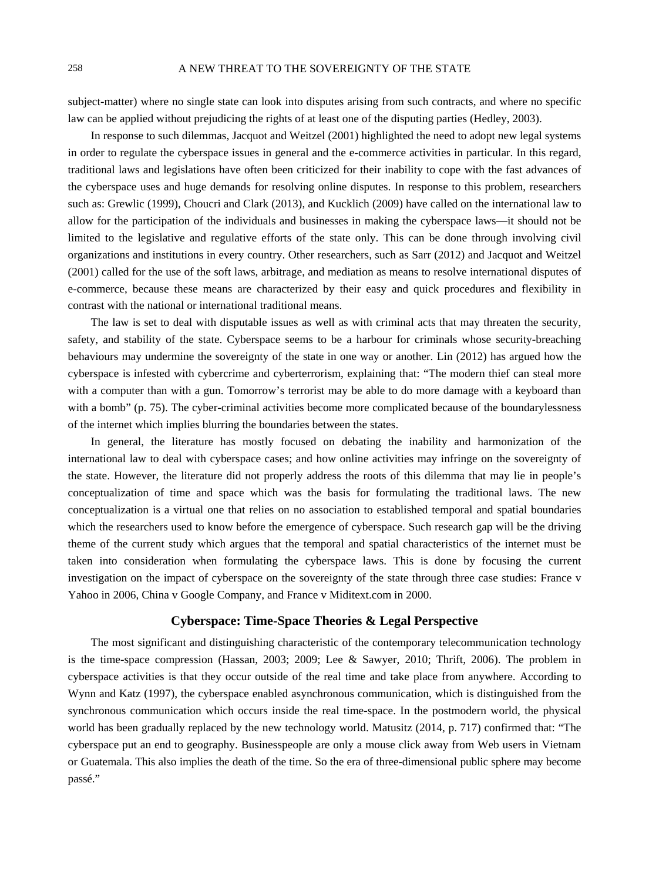### 258 A NEW THREAT TO THE SOVEREIGNTY OF THE STATE

subject-matter) where no single state can look into disputes arising from such contracts, and where no specific law can be applied without prejudicing the rights of at least one of the disputing parties (Hedley, 2003).

In response to such dilemmas, Jacquot and Weitzel (2001) highlighted the need to adopt new legal systems in order to regulate the cyberspace issues in general and the e-commerce activities in particular. In this regard, traditional laws and legislations have often been criticized for their inability to cope with the fast advances of the cyberspace uses and huge demands for resolving online disputes. In response to this problem, researchers such as: Grewlic (1999), Choucri and Clark (2013), and Kucklich (2009) have called on the international law to allow for the participation of the individuals and businesses in making the cyberspace laws—it should not be limited to the legislative and regulative efforts of the state only. This can be done through involving civil organizations and institutions in every country. Other researchers, such as Sarr (2012) and Jacquot and Weitzel (2001) called for the use of the soft laws, arbitrage, and mediation as means to resolve international disputes of e-commerce, because these means are characterized by their easy and quick procedures and flexibility in contrast with the national or international traditional means.

The law is set to deal with disputable issues as well as with criminal acts that may threaten the security, safety, and stability of the state. Cyberspace seems to be a harbour for criminals whose security-breaching behaviours may undermine the sovereignty of the state in one way or another. Lin (2012) has argued how the cyberspace is infested with cybercrime and cyberterrorism, explaining that: "The modern thief can steal more with a computer than with a gun. Tomorrow's terrorist may be able to do more damage with a keyboard than with a bomb" (p. 75). The cyber-criminal activities become more complicated because of the boundarylessness of the internet which implies blurring the boundaries between the states.

In general, the literature has mostly focused on debating the inability and harmonization of the international law to deal with cyberspace cases; and how online activities may infringe on the sovereignty of the state. However, the literature did not properly address the roots of this dilemma that may lie in people's conceptualization of time and space which was the basis for formulating the traditional laws. The new conceptualization is a virtual one that relies on no association to established temporal and spatial boundaries which the researchers used to know before the emergence of cyberspace. Such research gap will be the driving theme of the current study which argues that the temporal and spatial characteristics of the internet must be taken into consideration when formulating the cyberspace laws. This is done by focusing the current investigation on the impact of cyberspace on the sovereignty of the state through three case studies: France v Yahoo in 2006, China v Google Company, and France v Miditext.com in 2000.

# **Cyberspace: Time-Space Theories & Legal Perspective**

The most significant and distinguishing characteristic of the contemporary telecommunication technology is the time-space compression (Hassan, 2003; 2009; Lee & Sawyer, 2010; Thrift, 2006). The problem in cyberspace activities is that they occur outside of the real time and take place from anywhere. According to Wynn and Katz (1997), the cyberspace enabled asynchronous communication, which is distinguished from the synchronous communication which occurs inside the real time-space. In the postmodern world, the physical world has been gradually replaced by the new technology world. Matusitz (2014, p. 717) confirmed that: "The cyberspace put an end to geography. Businesspeople are only a mouse click away from Web users in Vietnam or Guatemala. This also implies the death of the time. So the era of three-dimensional public sphere may become passé."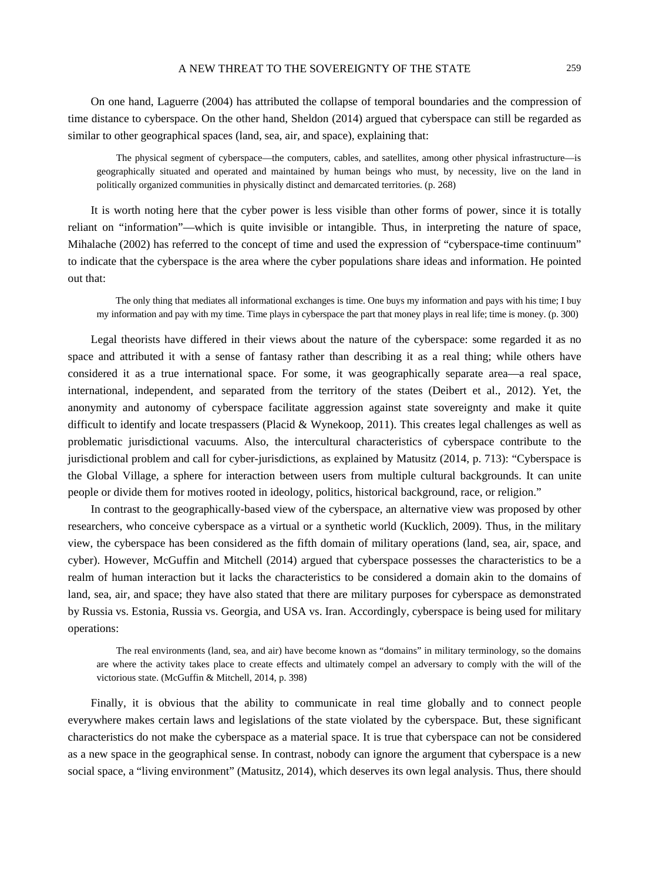### A NEW THREAT TO THE SOVEREIGNTY OF THE STATE 259

On one hand, Laguerre (2004) has attributed the collapse of temporal boundaries and the compression of time distance to cyberspace. On the other hand, Sheldon (2014) argued that cyberspace can still be regarded as similar to other geographical spaces (land, sea, air, and space), explaining that:

The physical segment of cyberspace—the computers, cables, and satellites, among other physical infrastructure—is geographically situated and operated and maintained by human beings who must, by necessity, live on the land in politically organized communities in physically distinct and demarcated territories. (p. 268)

It is worth noting here that the cyber power is less visible than other forms of power, since it is totally reliant on "information"—which is quite invisible or intangible. Thus, in interpreting the nature of space, Mihalache (2002) has referred to the concept of time and used the expression of "cyberspace-time continuum" to indicate that the cyberspace is the area where the cyber populations share ideas and information. He pointed out that:

The only thing that mediates all informational exchanges is time. One buys my information and pays with his time; I buy my information and pay with my time. Time plays in cyberspace the part that money plays in real life; time is money. (p. 300)

Legal theorists have differed in their views about the nature of the cyberspace: some regarded it as no space and attributed it with a sense of fantasy rather than describing it as a real thing; while others have considered it as a true international space. For some, it was geographically separate area—a real space, international, independent, and separated from the territory of the states (Deibert et al., 2012). Yet, the anonymity and autonomy of cyberspace facilitate aggression against state sovereignty and make it quite difficult to identify and locate trespassers (Placid & Wynekoop, 2011). This creates legal challenges as well as problematic jurisdictional vacuums. Also, the intercultural characteristics of cyberspace contribute to the jurisdictional problem and call for cyber-jurisdictions, as explained by Matusitz (2014, p. 713): "Cyberspace is the Global Village, a sphere for interaction between users from multiple cultural backgrounds. It can unite people or divide them for motives rooted in ideology, politics, historical background, race, or religion."

In contrast to the geographically-based view of the cyberspace, an alternative view was proposed by other researchers, who conceive cyberspace as a virtual or a synthetic world (Kucklich, 2009). Thus, in the military view, the cyberspace has been considered as the fifth domain of military operations (land, sea, air, space, and cyber). However, McGuffin and Mitchell (2014) argued that cyberspace possesses the characteristics to be a realm of human interaction but it lacks the characteristics to be considered a domain akin to the domains of land, sea, air, and space; they have also stated that there are military purposes for cyberspace as demonstrated by Russia vs. Estonia, Russia vs. Georgia, and USA vs. Iran. Accordingly, cyberspace is being used for military operations:

The real environments (land, sea, and air) have become known as "domains" in military terminology, so the domains are where the activity takes place to create effects and ultimately compel an adversary to comply with the will of the victorious state. (McGuffin & Mitchell, 2014, p. 398)

Finally, it is obvious that the ability to communicate in real time globally and to connect people everywhere makes certain laws and legislations of the state violated by the cyberspace. But, these significant characteristics do not make the cyberspace as a material space. It is true that cyberspace can not be considered as a new space in the geographical sense. In contrast, nobody can ignore the argument that cyberspace is a new social space, a "living environment" (Matusitz, 2014), which deserves its own legal analysis. Thus, there should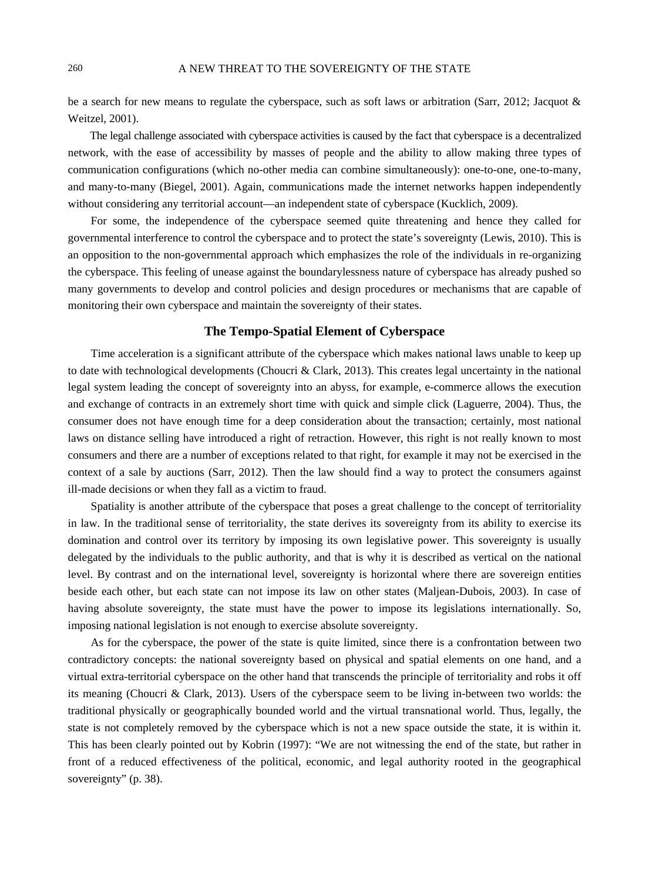be a search for new means to regulate the cyberspace, such as soft laws or arbitration (Sarr, 2012; Jacquot & Weitzel, 2001).

The legal challenge associated with cyberspace activities is caused by the fact that cyberspace is a decentralized network, with the ease of accessibility by masses of people and the ability to allow making three types of communication configurations (which no-other media can combine simultaneously): one-to-one, one-to-many, and many-to-many (Biegel, 2001). Again, communications made the internet networks happen independently without considering any territorial account—an independent state of cyberspace (Kucklich, 2009).

For some, the independence of the cyberspace seemed quite threatening and hence they called for governmental interference to control the cyberspace and to protect the state's sovereignty (Lewis, 2010). This is an opposition to the non-governmental approach which emphasizes the role of the individuals in re-organizing the cyberspace. This feeling of unease against the boundarylessness nature of cyberspace has already pushed so many governments to develop and control policies and design procedures or mechanisms that are capable of monitoring their own cyberspace and maintain the sovereignty of their states.

# **The Tempo-Spatial Element of Cyberspace**

Time acceleration is a significant attribute of the cyberspace which makes national laws unable to keep up to date with technological developments (Choucri & Clark, 2013). This creates legal uncertainty in the national legal system leading the concept of sovereignty into an abyss, for example, e-commerce allows the execution and exchange of contracts in an extremely short time with quick and simple click (Laguerre, 2004). Thus, the consumer does not have enough time for a deep consideration about the transaction; certainly, most national laws on distance selling have introduced a right of retraction. However, this right is not really known to most consumers and there are a number of exceptions related to that right, for example it may not be exercised in the context of a sale by auctions (Sarr, 2012). Then the law should find a way to protect the consumers against ill-made decisions or when they fall as a victim to fraud.

Spatiality is another attribute of the cyberspace that poses a great challenge to the concept of territoriality in law. In the traditional sense of territoriality, the state derives its sovereignty from its ability to exercise its domination and control over its territory by imposing its own legislative power. This sovereignty is usually delegated by the individuals to the public authority, and that is why it is described as vertical on the national level. By contrast and on the international level, sovereignty is horizontal where there are sovereign entities beside each other, but each state can not impose its law on other states (Maljean-Dubois, 2003). In case of having absolute sovereignty, the state must have the power to impose its legislations internationally. So, imposing national legislation is not enough to exercise absolute sovereignty.

As for the cyberspace, the power of the state is quite limited, since there is a confrontation between two contradictory concepts: the national sovereignty based on physical and spatial elements on one hand, and a virtual extra-territorial cyberspace on the other hand that transcends the principle of territoriality and robs it off its meaning (Choucri & Clark, 2013). Users of the cyberspace seem to be living in-between two worlds: the traditional physically or geographically bounded world and the virtual transnational world. Thus, legally, the state is not completely removed by the cyberspace which is not a new space outside the state, it is within it. This has been clearly pointed out by Kobrin (1997): "We are not witnessing the end of the state, but rather in front of a reduced effectiveness of the political, economic, and legal authority rooted in the geographical sovereignty" (p. 38).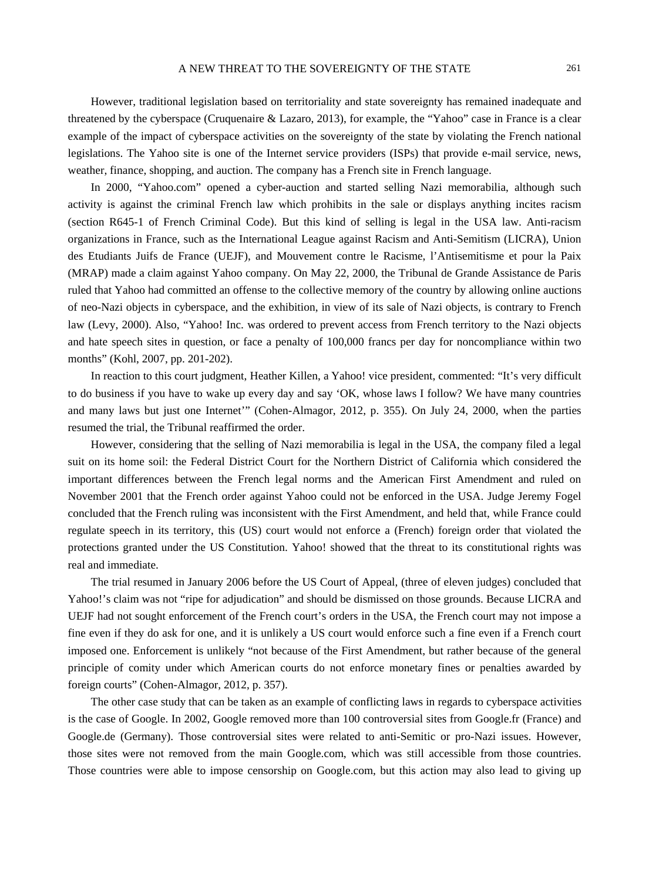However, traditional legislation based on territoriality and state sovereignty has remained inadequate and threatened by the cyberspace (Cruquenaire & Lazaro, 2013), for example, the "Yahoo" case in France is a clear example of the impact of cyberspace activities on the sovereignty of the state by violating the French national legislations. The Yahoo site is one of the Internet service providers (ISPs) that provide e-mail service, news, weather, finance, shopping, and auction. The company has a French site in French language.

In 2000, "Yahoo.com" opened a cyber-auction and started selling Nazi memorabilia, although such activity is against the criminal French law which prohibits in the sale or displays anything incites racism (section R645-1 of French Criminal Code). But this kind of selling is legal in the USA law. Anti-racism organizations in France, such as the International League against Racism and Anti-Semitism (LICRA), Union des Etudiants Juifs de France (UEJF), and Mouvement contre le Racisme, l'Antisemitisme et pour la Paix (MRAP) made a claim against Yahoo company. On May 22, 2000, the Tribunal de Grande Assistance de Paris ruled that Yahoo had committed an offense to the collective memory of the country by allowing online auctions of neo-Nazi objects in cyberspace, and the exhibition, in view of its sale of Nazi objects, is contrary to French law (Levy, 2000). Also, "Yahoo! Inc. was ordered to prevent access from French territory to the Nazi objects and hate speech sites in question, or face a penalty of 100,000 francs per day for noncompliance within two months" (Kohl, 2007, pp. 201-202).

In reaction to this court judgment, Heather Killen, a Yahoo! vice president, commented: "It's very difficult to do business if you have to wake up every day and say 'OK, whose laws I follow? We have many countries and many laws but just one Internet'" (Cohen-Almagor, 2012, p. 355). On July 24, 2000, when the parties resumed the trial, the Tribunal reaffirmed the order.

However, considering that the selling of Nazi memorabilia is legal in the USA, the company filed a legal suit on its home soil: the Federal District Court for the Northern District of California which considered the important differences between the French legal norms and the American First Amendment and ruled on November 2001 that the French order against Yahoo could not be enforced in the USA. Judge Jeremy Fogel concluded that the French ruling was inconsistent with the First Amendment, and held that, while France could regulate speech in its territory, this (US) court would not enforce a (French) foreign order that violated the protections granted under the US Constitution. Yahoo! showed that the threat to its constitutional rights was real and immediate.

The trial resumed in January 2006 before the US Court of Appeal, (three of eleven judges) concluded that Yahoo!'s claim was not "ripe for adjudication" and should be dismissed on those grounds. Because LICRA and UEJF had not sought enforcement of the French court's orders in the USA, the French court may not impose a fine even if they do ask for one, and it is unlikely a US court would enforce such a fine even if a French court imposed one. Enforcement is unlikely "not because of the First Amendment, but rather because of the general principle of comity under which American courts do not enforce monetary fines or penalties awarded by foreign courts" (Cohen-Almagor, 2012, p. 357).

The other case study that can be taken as an example of conflicting laws in regards to cyberspace activities is the case of Google. In 2002, Google removed more than 100 controversial sites from Google.fr (France) and Google.de (Germany). Those controversial sites were related to anti-Semitic or pro-Nazi issues. However, those sites were not removed from the main Google.com, which was still accessible from those countries. Those countries were able to impose censorship on Google.com, but this action may also lead to giving up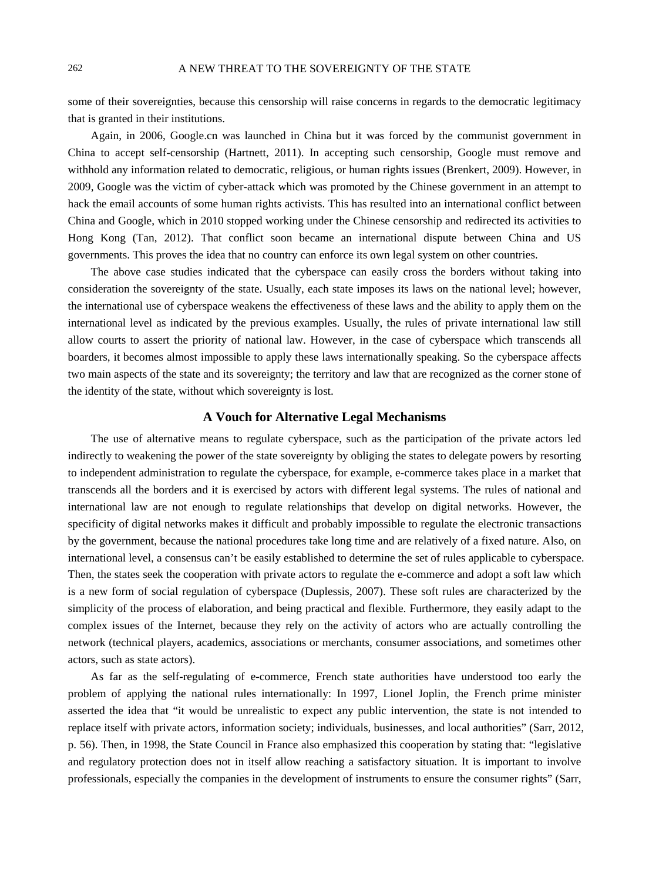some of their sovereignties, because this censorship will raise concerns in regards to the democratic legitimacy that is granted in their institutions.

Again, in 2006, Google.cn was launched in China but it was forced by the communist government in China to accept self-censorship (Hartnett, 2011). In accepting such censorship, Google must remove and withhold any information related to democratic, religious, or human rights issues (Brenkert, 2009). However, in 2009, Google was the victim of cyber-attack which was promoted by the Chinese government in an attempt to hack the email accounts of some human rights activists. This has resulted into an international conflict between China and Google, which in 2010 stopped working under the Chinese censorship and redirected its activities to Hong Kong (Tan, 2012). That conflict soon became an international dispute between China and US governments. This proves the idea that no country can enforce its own legal system on other countries.

The above case studies indicated that the cyberspace can easily cross the borders without taking into consideration the sovereignty of the state. Usually, each state imposes its laws on the national level; however, the international use of cyberspace weakens the effectiveness of these laws and the ability to apply them on the international level as indicated by the previous examples. Usually, the rules of private international law still allow courts to assert the priority of national law. However, in the case of cyberspace which transcends all boarders, it becomes almost impossible to apply these laws internationally speaking. So the cyberspace affects two main aspects of the state and its sovereignty; the territory and law that are recognized as the corner stone of the identity of the state, without which sovereignty is lost.

#### **A Vouch for Alternative Legal Mechanisms**

The use of alternative means to regulate cyberspace, such as the participation of the private actors led indirectly to weakening the power of the state sovereignty by obliging the states to delegate powers by resorting to independent administration to regulate the cyberspace, for example, e-commerce takes place in a market that transcends all the borders and it is exercised by actors with different legal systems. The rules of national and international law are not enough to regulate relationships that develop on digital networks. However, the specificity of digital networks makes it difficult and probably impossible to regulate the electronic transactions by the government, because the national procedures take long time and are relatively of a fixed nature. Also, on international level, a consensus can't be easily established to determine the set of rules applicable to cyberspace. Then, the states seek the cooperation with private actors to regulate the e-commerce and adopt a soft law which is a new form of social regulation of cyberspace (Duplessis, 2007). These soft rules are characterized by the simplicity of the process of elaboration, and being practical and flexible. Furthermore, they easily adapt to the complex issues of the Internet, because they rely on the activity of actors who are actually controlling the network (technical players, academics, associations or merchants, consumer associations, and sometimes other actors, such as state actors).

As far as the self-regulating of e-commerce, French state authorities have understood too early the problem of applying the national rules internationally: In 1997, Lionel Joplin, the French prime minister asserted the idea that "it would be unrealistic to expect any public intervention, the state is not intended to replace itself with private actors, information society; individuals, businesses, and local authorities" (Sarr, 2012, p. 56). Then, in 1998, the State Council in France also emphasized this cooperation by stating that: "legislative and regulatory protection does not in itself allow reaching a satisfactory situation. It is important to involve professionals, especially the companies in the development of instruments to ensure the consumer rights" (Sarr,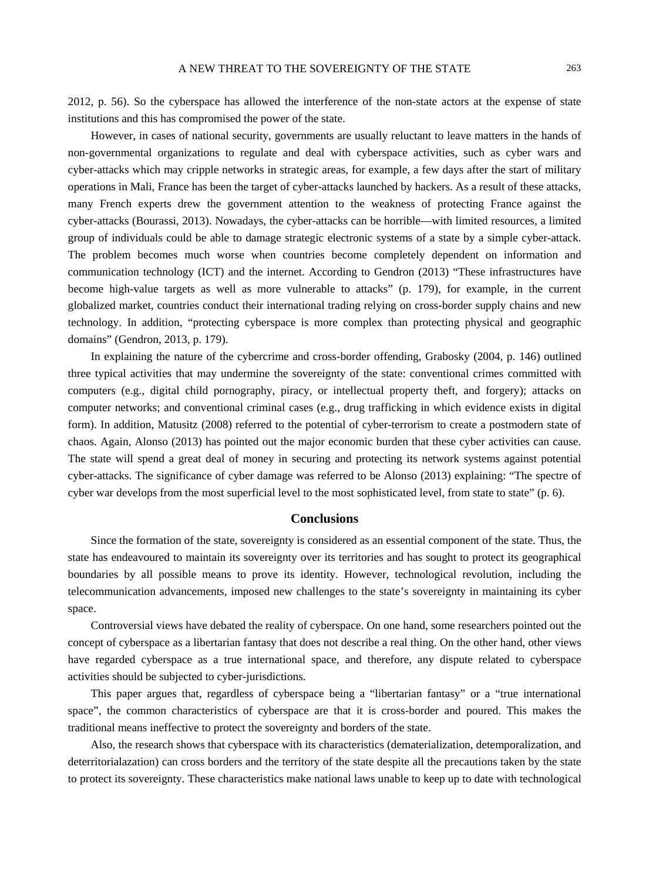2012, p. 56). So the cyberspace has allowed the interference of the non-state actors at the expense of state institutions and this has compromised the power of the state.

However, in cases of national security, governments are usually reluctant to leave matters in the hands of non-governmental organizations to regulate and deal with cyberspace activities, such as cyber wars and cyber-attacks which may cripple networks in strategic areas, for example, a few days after the start of military operations in Mali, France has been the target of cyber-attacks launched by hackers. As a result of these attacks, many French experts drew the government attention to the weakness of protecting France against the cyber-attacks (Bourassi, 2013). Nowadays, the cyber-attacks can be horrible—with limited resources, a limited group of individuals could be able to damage strategic electronic systems of a state by a simple cyber-attack. The problem becomes much worse when countries become completely dependent on information and communication technology (ICT) and the internet. According to Gendron (2013) "These infrastructures have become high-value targets as well as more vulnerable to attacks" (p. 179), for example, in the current globalized market, countries conduct their international trading relying on cross-border supply chains and new technology. In addition, "protecting cyberspace is more complex than protecting physical and geographic domains" (Gendron, 2013, p. 179).

In explaining the nature of the cybercrime and cross-border offending, Grabosky (2004, p. 146) outlined three typical activities that may undermine the sovereignty of the state: conventional crimes committed with computers (e.g., digital child pornography, piracy, or intellectual property theft, and forgery); attacks on computer networks; and conventional criminal cases (e.g., drug trafficking in which evidence exists in digital form). In addition, Matusitz (2008) referred to the potential of cyber-terrorism to create a postmodern state of chaos. Again, Alonso (2013) has pointed out the major economic burden that these cyber activities can cause. The state will spend a great deal of money in securing and protecting its network systems against potential cyber-attacks. The significance of cyber damage was referred to be Alonso (2013) explaining: "The spectre of cyber war develops from the most superficial level to the most sophisticated level, from state to state" (p. 6).

#### **Conclusions**

Since the formation of the state, sovereignty is considered as an essential component of the state. Thus, the state has endeavoured to maintain its sovereignty over its territories and has sought to protect its geographical boundaries by all possible means to prove its identity. However, technological revolution, including the telecommunication advancements, imposed new challenges to the state's sovereignty in maintaining its cyber space.

Controversial views have debated the reality of cyberspace. On one hand, some researchers pointed out the concept of cyberspace as a libertarian fantasy that does not describe a real thing. On the other hand, other views have regarded cyberspace as a true international space, and therefore, any dispute related to cyberspace activities should be subjected to cyber-jurisdictions.

This paper argues that, regardless of cyberspace being a "libertarian fantasy" or a "true international space", the common characteristics of cyberspace are that it is cross-border and poured. This makes the traditional means ineffective to protect the sovereignty and borders of the state.

Also, the research shows that cyberspace with its characteristics (dematerialization, detemporalization, and deterritorialazation) can cross borders and the territory of the state despite all the precautions taken by the state to protect its sovereignty. These characteristics make national laws unable to keep up to date with technological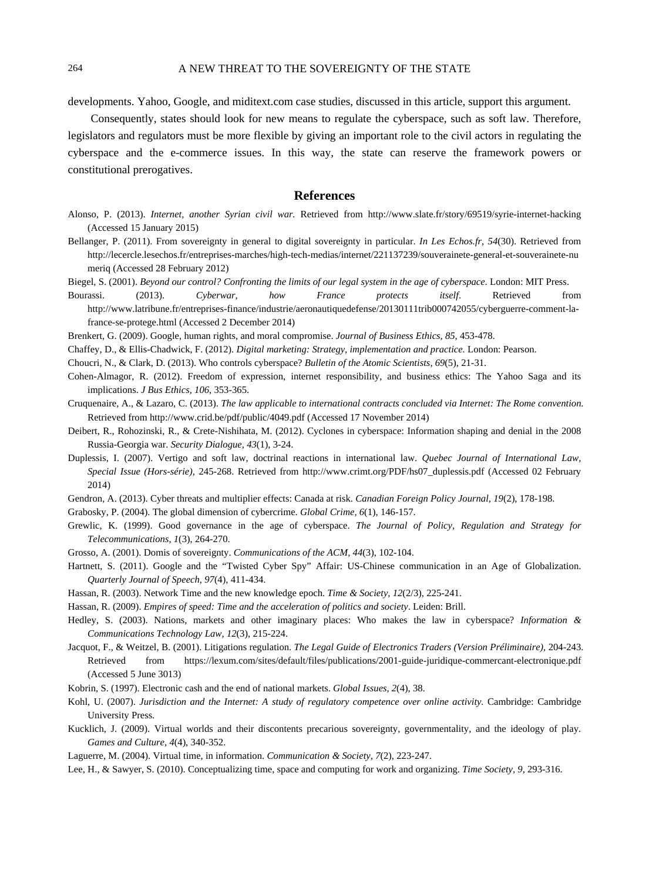developments. Yahoo, Google, and miditext.com case studies, discussed in this article, support this argument.

Consequently, states should look for new means to regulate the cyberspace, such as soft law. Therefore, legislators and regulators must be more flexible by giving an important role to the civil actors in regulating the cyberspace and the e-commerce issues. In this way, the state can reserve the framework powers or constitutional prerogatives.

#### **References**

- Alonso, P. (2013). *Internet, another Syrian civil war.* Retrieved from http://www.slate.fr/story/69519/syrie-internet-hacking (Accessed 15 January 2015)
- Bellanger, P. (2011). From sovereignty in general to digital sovereignty in particular. *In Les Echos.fr, 54*(30). Retrieved from http://lecercle.lesechos.fr/entreprises-marches/high-tech-medias/internet/221137239/souverainete-general-et-souverainete-nu meriq (Accessed 28 February 2012)

Biegel, S. (2001). *Beyond our control? Confronting the limits of our legal system in the age of cyberspace*. London: MIT Press.

Bourassi. (2013). *Cyberwar, how France protects itself*. Retrieved from http://www.latribune.fr/entreprises-finance/industrie/aeronautiquedefense/20130111trib000742055/cyberguerre-comment-lafrance-se-protege.html (Accessed 2 December 2014)

Brenkert, G. (2009). Google, human rights, and moral compromise. *Journal of Business Ethics, 85,* 453-478.

Chaffey, D., & Ellis-Chadwick, F. (2012). *Digital marketing: Strategy, implementation and practice.* London: Pearson.

- Choucri, N., & Clark, D. (2013). Who controls cyberspace? *Bulletin of the Atomic Scientists, 69*(5), 21-31.
- Cohen-Almagor, R. (2012). Freedom of expression, internet responsibility, and business ethics: The Yahoo Saga and its implications. *J Bus Ethics, 106,* 353-365.
- Cruquenaire, A., & Lazaro, C. (2013). *The law applicable to international contracts concluded via Internet: The Rome convention*. Retrieved from http://www.crid.be/pdf/public/4049.pdf (Accessed 17 November 2014)
- Deibert, R., Rohozinski, R., & Crete-Nishihata, M. (2012). Cyclones in cyberspace: Information shaping and denial in the 2008 Russia-Georgia war. *Security Dialogue, 43*(1), 3-24.
- Duplessis, I. (2007). Vertigo and soft law, doctrinal reactions in international law. *Quebec Journal of International Law, Special Issue (Hors-série),* 245-268. Retrieved from http://www.crimt.org/PDF/hs07\_duplessis.pdf (Accessed 02 February 2014)
- Gendron, A. (2013). Cyber threats and multiplier effects: Canada at risk. *Canadian Foreign Policy Journal, 19*(2), 178-198.
- Grabosky, P. (2004). The global dimension of cybercrime. *Global Crime, 6*(1), 146-157.
- Grewlic, K. (1999). Good governance in the age of cyberspace. *The Journal of Policy, Regulation and Strategy for Telecommunications, 1*(3), 264-270.
- Grosso, A. (2001). Domis of sovereignty. *Communications of the ACM, 44*(3), 102-104.
- Hartnett, S. (2011). Google and the "Twisted Cyber Spy" Affair: US-Chinese communication in an Age of Globalization. *Quarterly Journal of Speech, 97*(4), 411-434.
- Hassan, R. (2003). Network Time and the new knowledge epoch. *Time & Society, 12*(2/3), 225-241.
- Hassan, R. (2009). *Empires of speed: Time and the acceleration of politics and society*. Leiden: Brill.
- Hedley, S. (2003). Nations, markets and other imaginary places: Who makes the law in cyberspace? *Information & Communications Technology Law, 12*(3), 215-224.
- Jacquot, F., & Weitzel, B. (2001). Litigations regulation. *The Legal Guide of Electronics Traders (Version Préliminaire),* 204-243. Retrieved from https://lexum.com/sites/default/files/publications/2001-guide-juridique-commercant-electronique.pdf (Accessed 5 June 3013)
- Kobrin, S. (1997). Electronic cash and the end of national markets. *Global Issues, 2*(4), 38.
- Kohl, U. (2007). *Jurisdiction and the Internet: A study of regulatory competence over online activity.* Cambridge: Cambridge University Press.
- Kucklich, J. (2009). Virtual worlds and their discontents precarious sovereignty, governmentality, and the ideology of play. *Games and Culture, 4*(4), 340-352.
- Laguerre, M. (2004). Virtual time, in information. *Communication & Society, 7*(2), 223-247.
- Lee, H., & Sawyer, S. (2010). Conceptualizing time, space and computing for work and organizing. *Time Society, 9,* 293-316.